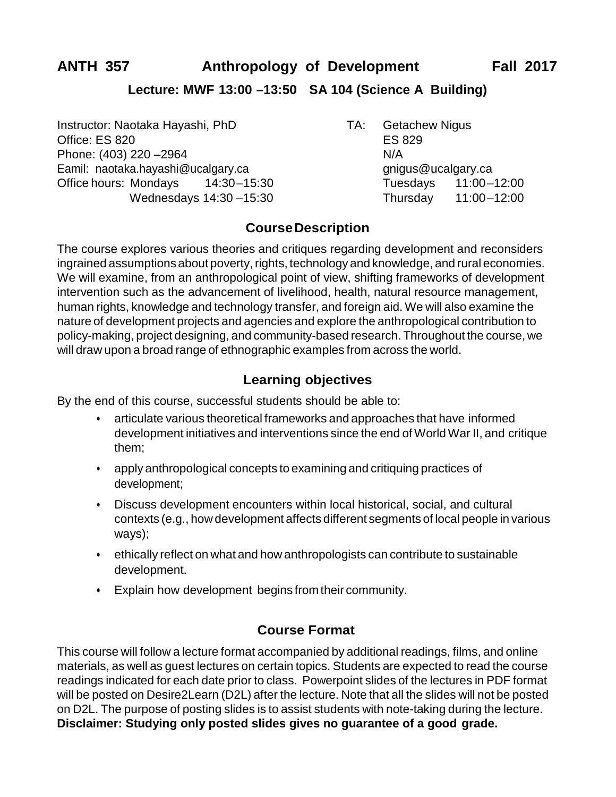## **Lecture: MWF 13:00 –13:50 SA 104 (Science A Building)**

Instructor: Naotaka Hayashi, PhD TA: Getachew Nigus Office: ES 820 ES 829 Phone: (403) 220 – 2964 N/A Eamil: [naotaka.hayashi@ucalgary.ca](mailto:naotaka.hayashi@ucalgary.ca) [gnigus@ucalgary.ca](mailto:gnigus@ucalgary.ca) Office hours: Mondays 14:30–15:30 Tuesdays 11:00–12:00

Wednesdays 14:30 - 15:30 Thursday 11:00 - 12:00

# **CourseDescription**

The course explores various theories and critiques regarding development and reconsiders ingrained assumptions about poverty, rights, technology and knowledge, and rural economies. We will examine, from an anthropological point of view, shifting frameworks of development intervention such as the advancement of livelihood, health, natural resource management, human rights, knowledge and technology transfer, and foreign aid. We will also examine the nature of development projects and agencies and explore the anthropological contribution to policy-making, project designing, and community-based research. Throughout the course, we will draw upon a broad range of ethnographic examples from across the world.

# **Learning objectives**

By the end of this course, successful students should be able to:

- articulate various theoretical frameworks and approaches that have informed development initiatives and interventions since the end of World War II, and critique them;
- apply anthropological concepts to examining and critiquing practices of development;
- Discuss development encounters within local historical, social, and cultural contexts (e.g., how development affects different segments of local people in various ways);
- ethically reflect on what and how anthropologists can contribute to sustainable development.
- Explain how development begins from their community.

# **Course Format**

This course will follow a lecture format accompanied by additional readings, films, and online materials, as well as guest lectures on certain topics. Students are expected to read the course readings indicated for each date prior to class. Powerpoint slides of the lectures in PDF format will be posted on Desire2Learn (D2L) after the lecture. Note that all the slides will not be posted on D2L. The purpose of posting slides is to assist students with note-taking during the lecture. **Disclaimer: Studying only posted slides gives no guarantee of a good grade.**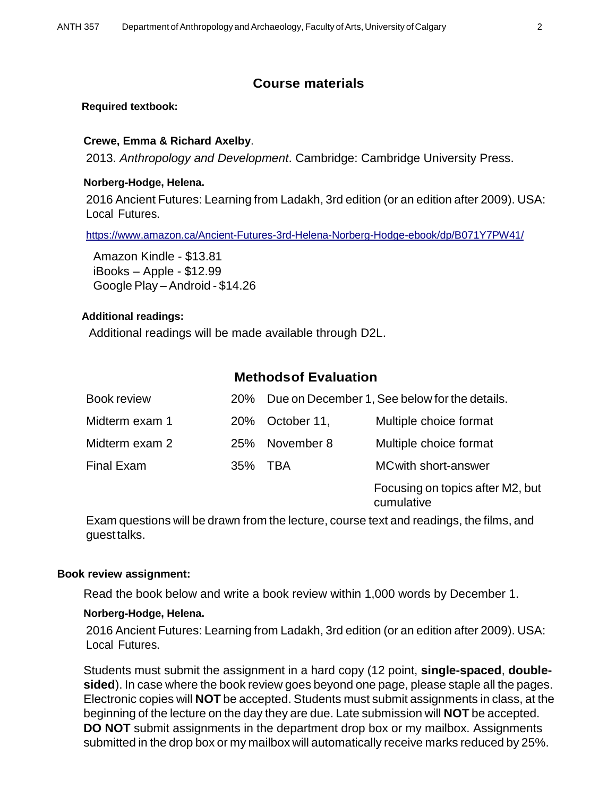### **Course materials**

#### **Required textbook:**

#### **Crewe, Emma & Richard Axelby**.

2013. *Anthropology and Development*. Cambridge: Cambridge University Press.

#### **Norberg-Hodge, Helena.**

2016 Ancient Futures: Learning from Ladakh, 3rd edition (or an edition after 2009). USA: Local Futures.

<https://www.amazon.ca/Ancient-Futures-3rd-Helena-Norberg-Hodge-ebook/dp/B071Y7PW41/>

Amazon Kindle - \$13.81 iBooks – Apple - \$12.99 Google Play – Android - \$14.26

#### **Additional readings:**

Additional readings will be made available through D2L.

### **Methodsof Evaluation**

| Book review       |            |             | 20% Due on December 1, See below for the details. |
|-------------------|------------|-------------|---------------------------------------------------|
| Midterm exam 1    | <b>20%</b> | October 11, | Multiple choice format                            |
| Midterm exam 2    | <b>25%</b> | November 8  | Multiple choice format                            |
| <b>Final Exam</b> | 35%        | TRA         | <b>MC with short-answer</b>                       |
|                   |            |             | Focusing on topics after M2, but<br>cumulative    |

Exam questions will be drawn from the lecture, course text and readings, the films, and guest talks.

#### **Book review assignment:**

Read the book below and write a book review within 1,000 words by December 1.

#### **Norberg-Hodge, Helena.**

2016 Ancient Futures: Learning from Ladakh, 3rd edition (or an edition after 2009). USA: Local Futures.

Students must submit the assignment in a hard copy (12 point, **single-spaced**, **doublesided**). In case where the book review goes beyond one page, please staple all the pages. Electronic copies will **NOT** be accepted. Students must submit assignments in class, at the beginning of the lecture on the day they are due. Late submission will **NOT** be accepted. **DO NOT** submit assignments in the department drop box or my mailbox. Assignments submitted in the drop box or my mailbox will automatically receive marks reduced by 25%.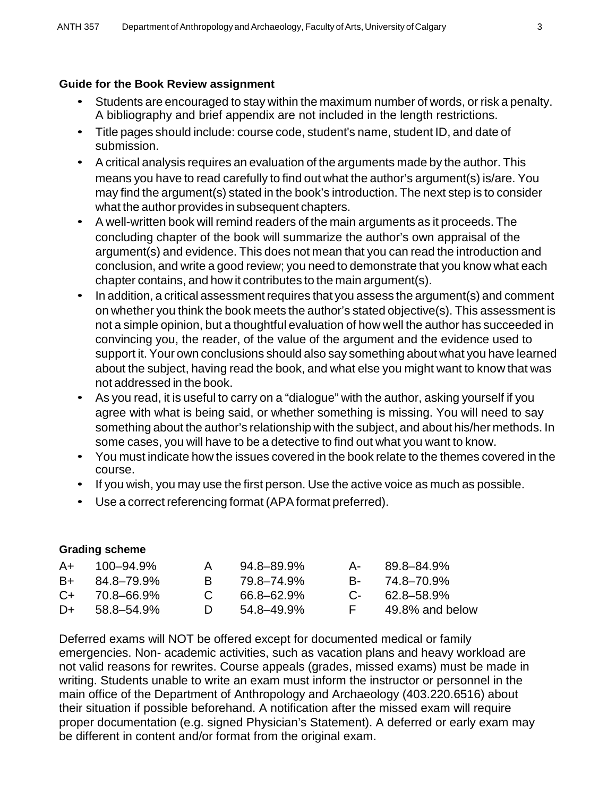### **Guide for the Book Review assignment**

- Students are encouraged to stay within the maximum number of words, or risk a penalty. A bibliography and brief appendix are not included in the length restrictions.
- Title pages should include: course code, student's name, student ID, and date of submission.
- A critical analysis requires an evaluation of the arguments made by the author. This means you have to read carefully to find out what the author's argument(s) is/are. You may find the argument(s) stated in the book's introduction. The next step is to consider what the author provides in subsequent chapters.
- A well-written book will remind readers of the main arguments as it proceeds. The concluding chapter of the book will summarize the author's own appraisal of the argument(s) and evidence. This does not mean that you can read the introduction and conclusion, and write a good review; you need to demonstrate that you know what each chapter contains, and how it contributes to the main argument(s).
- In addition, a critical assessment requires that you assess the argument(s) and comment on whether you think the book meets the author's stated objective(s). This assessment is not a simple opinion, but a thoughtful evaluation of how well the author has succeeded in convincing you, the reader, of the value of the argument and the evidence used to support it. Your own conclusions should also say something about what you have learned about the subject, having read the book, and what else you might want to know that was not addressed in the book.
- As you read, it is useful to carry on a "dialogue" with the author, asking yourself if you agree with what is being said, or whether something is missing. You will need to say something about the author's relationship with the subject, and about his/her methods. In some cases, you will have to be a detective to find out what you want to know.
- You must indicate how the issues covered in the book relate to the themes covered in the course.
- If you wish, you may use the first person. Use the active voice as much as possible.
- Use a correct referencing format (APA format preferred).

### **Grading scheme**

| A+   | 100–94.9%          | A            | $94.8 - 89.9\%$ |          | A- 89.8–84.9%       |
|------|--------------------|--------------|-----------------|----------|---------------------|
| B+   | 84.8–79.9%         | <b>B</b>     | 79.8–74.9%      |          | B- 74.8–70.9%       |
|      | $C_{+}$ 70.8-66.9% | $\mathbf{C}$ | 66.8-62.9%      |          | $C - 62.8 - 58.9\%$ |
| $D+$ | 58.8–54.9%         | $\mathbf{D}$ | 54.8–49.9%      | <b>E</b> | 49.8% and below     |

Deferred exams will NOT be offered except for documented medical or family emergencies. Non- academic activities, such as vacation plans and heavy workload are not valid reasons for rewrites. Course appeals (grades, missed exams) must be made in writing. Students unable to write an exam must inform the instructor or personnel in the main office of the Department of Anthropology and Archaeology (403.220.6516) about their situation if possible beforehand. A notification after the missed exam will require proper documentation (e.g. signed Physician's Statement). A deferred or early exam may be different in content and/or format from the original exam.